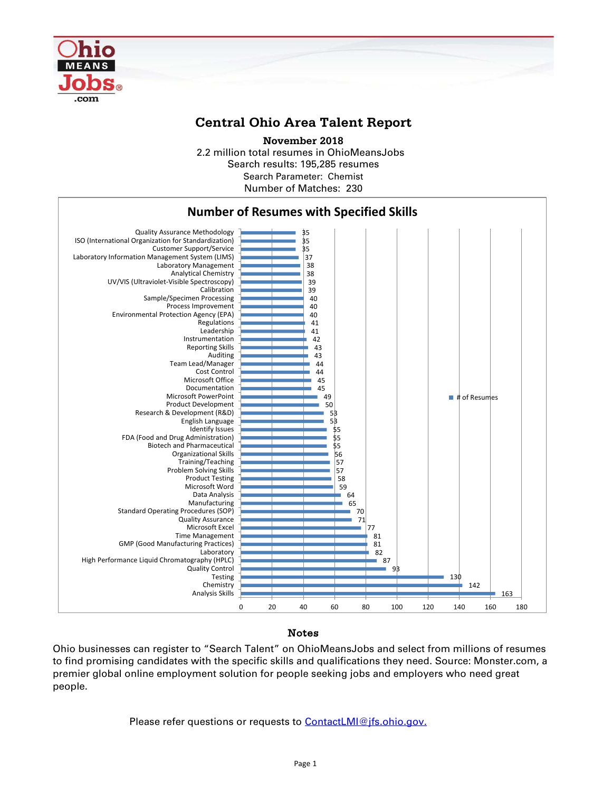

## **Central Ohio Area Talent Report**

2.2 million total resumes in OhioMeansJobs Search results: 195,285 resumes Number of Matches: 230 **November 2018** Search Parameter: Chemist



## Notes

Ohio businesses can register to "Search Talent" on OhioMeansJobs and select from millions of resumes to find promising candidates with the specific skills and qualifications they need. Source: Monster.com, a premier global online employment solution for people seeking jobs and employers who need great people.

Please refer questions or requests to [ContactLMI@jfs.ohio.gov.](mailto:ContactLMI@jfs.ohio.gov.)